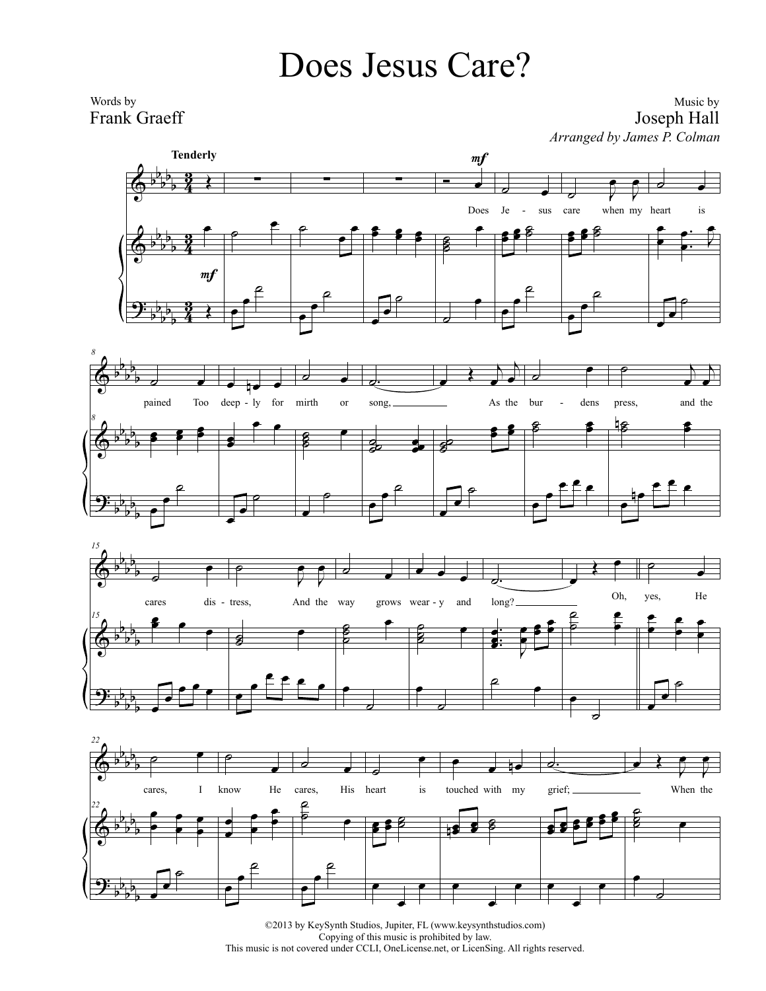## Does Jesus Care?

Words by Frank Graeff

Music by Joseph Hall *Arranged by James P. Colman*









©2013 by KeySynth Studios, Jupiter, FL (www.keysynthstudios.com) Copying of this music is prohibited by law. This music is not covered under CCLI, OneLicense.net, or LicenSing. All rights reserved.